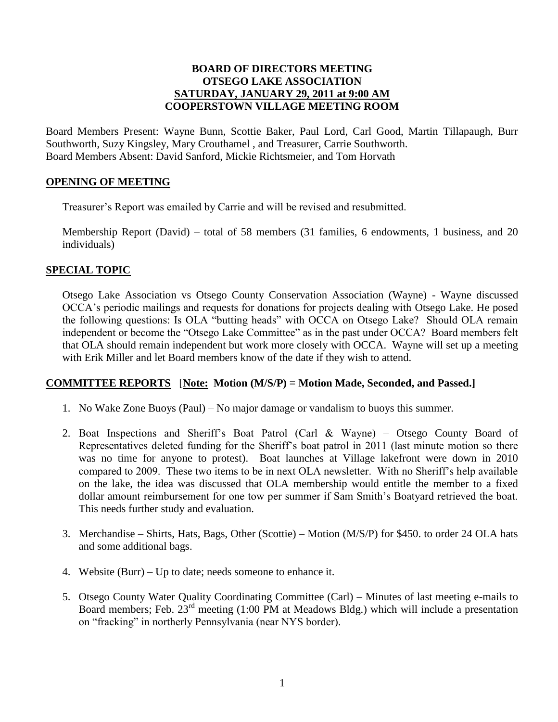## **BOARD OF DIRECTORS MEETING OTSEGO LAKE ASSOCIATION SATURDAY, JANUARY 29, 2011 at 9:00 AM COOPERSTOWN VILLAGE MEETING ROOM**

Board Members Present: Wayne Bunn, Scottie Baker, Paul Lord, Carl Good, Martin Tillapaugh, Burr Southworth, Suzy Kingsley, Mary Crouthamel , and Treasurer, Carrie Southworth. Board Members Absent: David Sanford, Mickie Richtsmeier, and Tom Horvath

### **OPENING OF MEETING**

Treasurer's Report was emailed by Carrie and will be revised and resubmitted.

Membership Report (David) – total of 58 members (31 families, 6 endowments, 1 business, and 20 individuals)

## **SPECIAL TOPIC**

Otsego Lake Association vs Otsego County Conservation Association (Wayne) - Wayne discussed OCCA's periodic mailings and requests for donations for projects dealing with Otsego Lake. He posed the following questions: Is OLA "butting heads" with OCCA on Otsego Lake? Should OLA remain independent or become the "Otsego Lake Committee" as in the past under OCCA? Board members felt that OLA should remain independent but work more closely with OCCA. Wayne will set up a meeting with Erik Miller and let Board members know of the date if they wish to attend.

### **COMMITTEE REPORTS** [**Note: Motion (M/S/P) = Motion Made, Seconded, and Passed.]**

- 1. No Wake Zone Buoys (Paul) No major damage or vandalism to buoys this summer.
- 2. Boat Inspections and Sheriff's Boat Patrol (Carl & Wayne) Otsego County Board of Representatives deleted funding for the Sheriff's boat patrol in 2011 (last minute motion so there was no time for anyone to protest). Boat launches at Village lakefront were down in 2010 compared to 2009. These two items to be in next OLA newsletter. With no Sheriff's help available on the lake, the idea was discussed that OLA membership would entitle the member to a fixed dollar amount reimbursement for one tow per summer if Sam Smith's Boatyard retrieved the boat. This needs further study and evaluation.
- 3. Merchandise Shirts, Hats, Bags, Other (Scottie) Motion (M/S/P) for \$450. to order 24 OLA hats and some additional bags.
- 4. Website (Burr) Up to date; needs someone to enhance it.
- 5. Otsego County Water Quality Coordinating Committee (Carl) Minutes of last meeting e-mails to Board members; Feb. 23<sup>rd</sup> meeting (1:00 PM at Meadows Bldg.) which will include a presentation on "fracking" in northerly Pennsylvania (near NYS border).